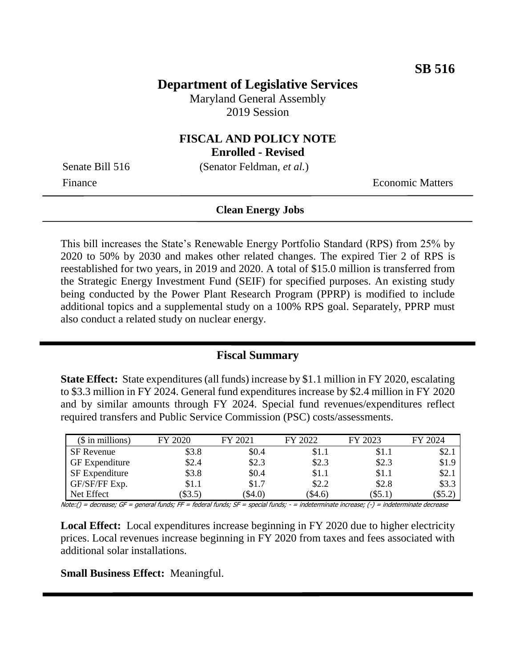# **Department of Legislative Services**

Maryland General Assembly 2019 Session

# **FISCAL AND POLICY NOTE**

**Enrolled - Revised**

Senate Bill 516 (Senator Feldman, *et al.*)

Finance **Exercífical Economic Matters** 

#### **Clean Energy Jobs**

This bill increases the State's Renewable Energy Portfolio Standard (RPS) from 25% by 2020 to 50% by 2030 and makes other related changes. The expired Tier 2 of RPS is reestablished for two years, in 2019 and 2020. A total of \$15.0 million is transferred from the Strategic Energy Investment Fund (SEIF) for specified purposes. An existing study being conducted by the Power Plant Research Program (PPRP) is modified to include additional topics and a supplemental study on a 100% RPS goal. Separately, PPRP must also conduct a related study on nuclear energy.

#### **Fiscal Summary**

**State Effect:** State expenditures (all funds) increase by \$1.1 million in FY 2020, escalating to \$3.3 million in FY 2024. General fund expenditures increase by \$2.4 million in FY 2020 and by similar amounts through FY 2024. Special fund revenues/expenditures reflect required transfers and Public Service Commission (PSC) costs/assessments.

| $($$ in millions)     | FY 2020 | FY 2021   | FY 2022   | FY 2023   | FY 2024 |
|-----------------------|---------|-----------|-----------|-----------|---------|
| SF Revenue            | \$3.8   | \$0.4     | \$1.1     | \$1.1     | \$2.1   |
| <b>GF</b> Expenditure | \$2.4   | \$2.3     | \$2.3     | \$2.3     | \$1.9   |
| <b>SF</b> Expenditure | \$3.8   | \$0.4     | \$1.1     | \$1.1     | \$2.1   |
| GF/SF/FF Exp.         | \$1.1   | \$1.7     | \$2.2     | \$2.8     | \$3.3   |
| Net Effect            | \$3.5)  | $(\$4.0)$ | $(\$4.6)$ | $(\$5.1)$ | $\$5.2$ |

Note:() = decrease; GF = general funds; FF = federal funds; SF = special funds; - = indeterminate increase; (-) = indeterminate decrease

**Local Effect:** Local expenditures increase beginning in FY 2020 due to higher electricity prices. Local revenues increase beginning in FY 2020 from taxes and fees associated with additional solar installations.

**Small Business Effect:** Meaningful.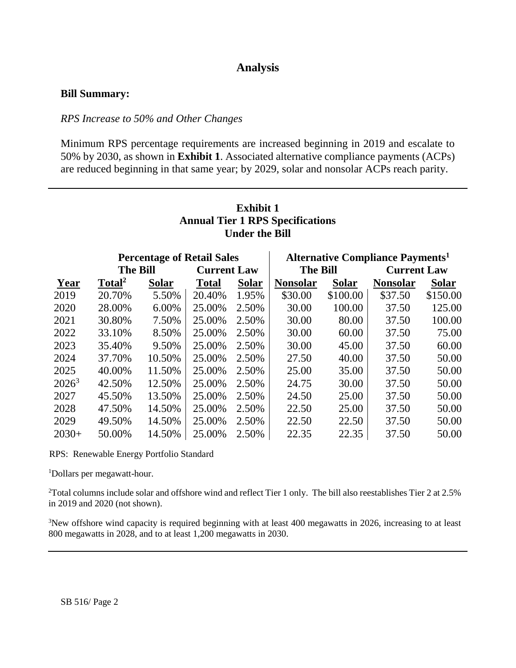## **Analysis**

#### **Bill Summary:**

#### *RPS Increase to 50% and Other Changes*

Minimum RPS percentage requirements are increased beginning in 2019 and escalate to 50% by 2030, as shown in **Exhibit 1**. Associated alternative compliance payments (ACPs) are reduced beginning in that same year; by 2029, solar and nonsolar ACPs reach parity.

## **Exhibit 1 Annual Tier 1 RPS Specifications Under the Bill**

|                 | <b>Percentage of Retail Sales</b> |              |                    | <b>Alternative Compliance Payments</b> <sup>1</sup> |                 |              |                    |              |
|-----------------|-----------------------------------|--------------|--------------------|-----------------------------------------------------|-----------------|--------------|--------------------|--------------|
| <b>The Bill</b> |                                   |              | <b>Current Law</b> |                                                     | <b>The Bill</b> |              | <b>Current Law</b> |              |
| Year            | Total <sup>2</sup>                | <b>Solar</b> | <b>Total</b>       | <b>Solar</b>                                        | <b>Nonsolar</b> | <b>Solar</b> | <b>Nonsolar</b>    | <b>Solar</b> |
| 2019            | 20.70%                            | 5.50%        | 20.40%             | 1.95%                                               | \$30.00         | \$100.00     | \$37.50            | \$150.00     |
| 2020            | 28.00%                            | 6.00%        | 25.00%             | 2.50%                                               | 30.00           | 100.00       | 37.50              | 125.00       |
| 2021            | 30.80%                            | 7.50%        | 25.00%             | 2.50%                                               | 30.00           | 80.00        | 37.50              | 100.00       |
| 2022            | 33.10%                            | 8.50%        | 25.00%             | 2.50%                                               | 30.00           | 60.00        | 37.50              | 75.00        |
| 2023            | 35.40%                            | 9.50%        | 25.00%             | 2.50%                                               | 30.00           | 45.00        | 37.50              | 60.00        |
| 2024            | 37.70%                            | 10.50%       | 25.00%             | 2.50%                                               | 27.50           | 40.00        | 37.50              | 50.00        |
| 2025            | 40.00%                            | 11.50%       | 25.00%             | 2.50%                                               | 25.00           | 35.00        | 37.50              | 50.00        |
| $2026^3$        | 42.50%                            | 12.50%       | 25.00%             | 2.50%                                               | 24.75           | 30.00        | 37.50              | 50.00        |
| 2027            | 45.50%                            | 13.50%       | 25.00%             | 2.50%                                               | 24.50           | 25.00        | 37.50              | 50.00        |
| 2028            | 47.50%                            | 14.50%       | 25.00%             | 2.50%                                               | 22.50           | 25.00        | 37.50              | 50.00        |
| 2029            | 49.50%                            | 14.50%       | 25.00%             | 2.50%                                               | 22.50           | 22.50        | 37.50              | 50.00        |
| $2030+$         | 50.00%                            | 14.50%       | 25.00%             | 2.50%                                               | 22.35           | 22.35        | 37.50              | 50.00        |

RPS: Renewable Energy Portfolio Standard

<sup>1</sup>Dollars per megawatt-hour.

 $2$ Total columns include solar and offshore wind and reflect Tier 1 only. The bill also reestablishes Tier 2 at 2.5% in 2019 and 2020 (not shown).

<sup>3</sup>New offshore wind capacity is required beginning with at least 400 megawatts in 2026, increasing to at least 800 megawatts in 2028, and to at least 1,200 megawatts in 2030.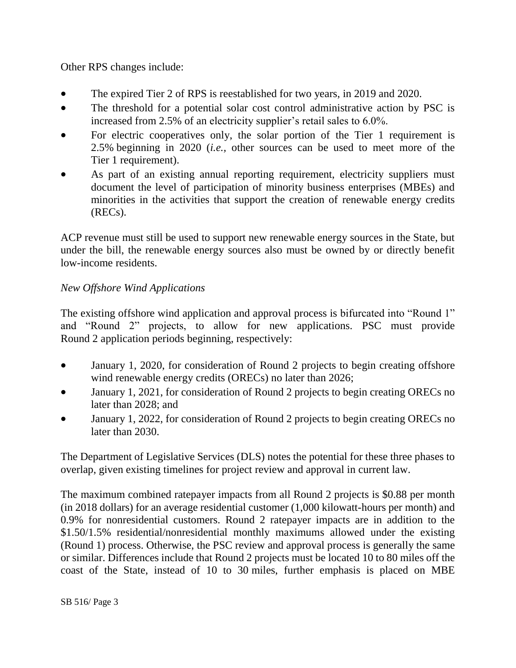Other RPS changes include:

- The expired Tier 2 of RPS is reestablished for two years, in 2019 and 2020.
- The threshold for a potential solar cost control administrative action by PSC is increased from 2.5% of an electricity supplier's retail sales to 6.0%.
- For electric cooperatives only, the solar portion of the Tier 1 requirement is 2.5% beginning in 2020 (*i.e.,* other sources can be used to meet more of the Tier 1 requirement).
- As part of an existing annual reporting requirement, electricity suppliers must document the level of participation of minority business enterprises (MBEs) and minorities in the activities that support the creation of renewable energy credits (RECs).

ACP revenue must still be used to support new renewable energy sources in the State, but under the bill, the renewable energy sources also must be owned by or directly benefit low-income residents.

# *New Offshore Wind Applications*

The existing offshore wind application and approval process is bifurcated into "Round 1" and "Round 2" projects, to allow for new applications. PSC must provide Round 2 application periods beginning, respectively:

- January 1, 2020, for consideration of Round 2 projects to begin creating offshore wind renewable energy credits (ORECs) no later than 2026;
- January 1, 2021, for consideration of Round 2 projects to begin creating ORECs no later than 2028; and
- January 1, 2022, for consideration of Round 2 projects to begin creating ORECs no later than 2030.

The Department of Legislative Services (DLS) notes the potential for these three phases to overlap, given existing timelines for project review and approval in current law.

The maximum combined ratepayer impacts from all Round 2 projects is \$0.88 per month (in 2018 dollars) for an average residential customer (1,000 kilowatt-hours per month) and 0.9% for nonresidential customers. Round 2 ratepayer impacts are in addition to the \$1.50/1.5% residential/nonresidential monthly maximums allowed under the existing (Round 1) process. Otherwise, the PSC review and approval process is generally the same or similar. Differences include that Round 2 projects must be located 10 to 80 miles off the coast of the State, instead of 10 to 30 miles, further emphasis is placed on MBE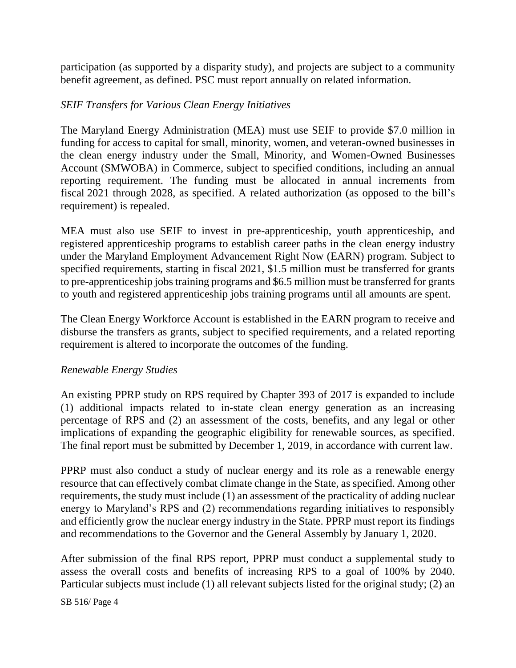participation (as supported by a disparity study), and projects are subject to a community benefit agreement, as defined. PSC must report annually on related information.

#### *SEIF Transfers for Various Clean Energy Initiatives*

The Maryland Energy Administration (MEA) must use SEIF to provide \$7.0 million in funding for access to capital for small, minority, women, and veteran-owned businesses in the clean energy industry under the Small, Minority, and Women-Owned Businesses Account (SMWOBA) in Commerce, subject to specified conditions, including an annual reporting requirement. The funding must be allocated in annual increments from fiscal 2021 through 2028, as specified. A related authorization (as opposed to the bill's requirement) is repealed.

MEA must also use SEIF to invest in pre-apprenticeship, youth apprenticeship, and registered apprenticeship programs to establish career paths in the clean energy industry under the Maryland Employment Advancement Right Now (EARN) program. Subject to specified requirements, starting in fiscal 2021, \$1.5 million must be transferred for grants to pre-apprenticeship jobs training programs and \$6.5 million must be transferred for grants to youth and registered apprenticeship jobs training programs until all amounts are spent.

The Clean Energy Workforce Account is established in the EARN program to receive and disburse the transfers as grants, subject to specified requirements, and a related reporting requirement is altered to incorporate the outcomes of the funding.

#### *Renewable Energy Studies*

An existing PPRP study on RPS required by Chapter 393 of 2017 is expanded to include (1) additional impacts related to in-state clean energy generation as an increasing percentage of RPS and (2) an assessment of the costs, benefits, and any legal or other implications of expanding the geographic eligibility for renewable sources, as specified. The final report must be submitted by December 1, 2019, in accordance with current law.

PPRP must also conduct a study of nuclear energy and its role as a renewable energy resource that can effectively combat climate change in the State, as specified. Among other requirements, the study must include (1) an assessment of the practicality of adding nuclear energy to Maryland's RPS and (2) recommendations regarding initiatives to responsibly and efficiently grow the nuclear energy industry in the State. PPRP must report its findings and recommendations to the Governor and the General Assembly by January 1, 2020.

After submission of the final RPS report, PPRP must conduct a supplemental study to assess the overall costs and benefits of increasing RPS to a goal of 100% by 2040. Particular subjects must include (1) all relevant subjects listed for the original study; (2) an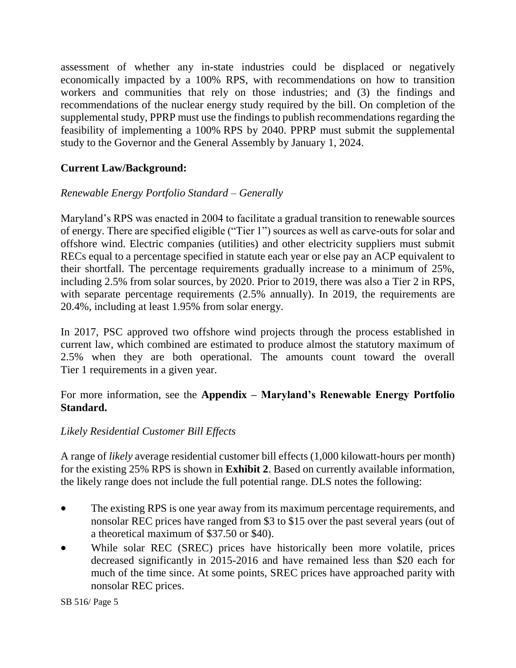assessment of whether any in-state industries could be displaced or negatively economically impacted by a 100% RPS, with recommendations on how to transition workers and communities that rely on those industries; and (3) the findings and recommendations of the nuclear energy study required by the bill. On completion of the supplemental study, PPRP must use the findings to publish recommendations regarding the feasibility of implementing a 100% RPS by 2040. PPRP must submit the supplemental study to the Governor and the General Assembly by January 1, 2024.

# **Current Law/Background:**

# *Renewable Energy Portfolio Standard – Generally*

Maryland's RPS was enacted in 2004 to facilitate a gradual transition to renewable sources of energy. There are specified eligible ("Tier 1") sources as well as carve-outs for solar and offshore wind. Electric companies (utilities) and other electricity suppliers must submit RECs equal to a percentage specified in statute each year or else pay an ACP equivalent to their shortfall. The percentage requirements gradually increase to a minimum of 25%, including 2.5% from solar sources, by 2020. Prior to 2019, there was also a Tier 2 in RPS, with separate percentage requirements (2.5% annually). In 2019, the requirements are 20.4%, including at least 1.95% from solar energy.

In 2017, PSC approved two offshore wind projects through the process established in current law, which combined are estimated to produce almost the statutory maximum of 2.5% when they are both operational. The amounts count toward the overall Tier 1 requirements in a given year.

## For more information, see the **Appendix – Maryland's Renewable Energy Portfolio Standard.**

# *Likely Residential Customer Bill Effects*

A range of *likely* average residential customer bill effects (1,000 kilowatt-hours per month) for the existing 25% RPS is shown in **Exhibit 2**. Based on currently available information, the likely range does not include the full potential range. DLS notes the following:

- The existing RPS is one year away from its maximum percentage requirements, and nonsolar REC prices have ranged from \$3 to \$15 over the past several years (out of a theoretical maximum of \$37.50 or \$40).
- While solar REC (SREC) prices have historically been more volatile, prices decreased significantly in 2015-2016 and have remained less than \$20 each for much of the time since. At some points, SREC prices have approached parity with nonsolar REC prices.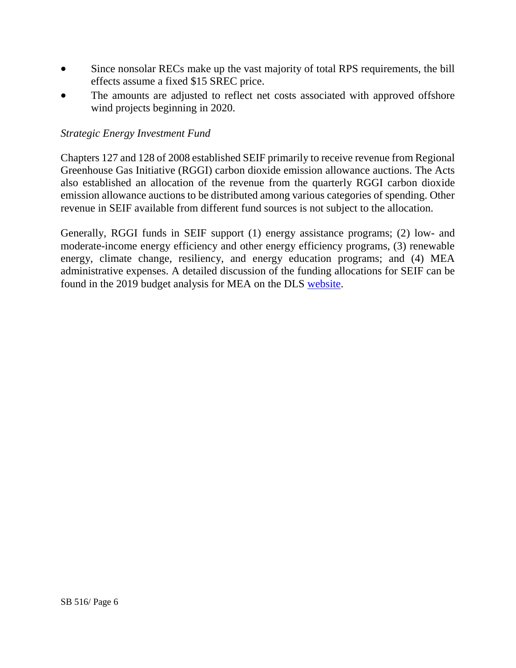- Since nonsolar RECs make up the vast majority of total RPS requirements, the bill effects assume a fixed \$15 SREC price.
- The amounts are adjusted to reflect net costs associated with approved offshore wind projects beginning in 2020.

## *Strategic Energy Investment Fund*

Chapters 127 and 128 of 2008 established SEIF primarily to receive revenue from Regional Greenhouse Gas Initiative (RGGI) carbon dioxide emission allowance auctions. The Acts also established an allocation of the revenue from the quarterly RGGI carbon dioxide emission allowance auctions to be distributed among various categories of spending. Other revenue in SEIF available from different fund sources is not subject to the allocation.

Generally, RGGI funds in SEIF support (1) energy assistance programs; (2) low- and moderate-income energy efficiency and other energy efficiency programs, (3) renewable energy, climate change, resiliency, and energy education programs; and (4) MEA administrative expenses. A detailed discussion of the funding allocations for SEIF can be found in the 2019 budget analysis for MEA on the DLS [website.](http://mgaleg.maryland.gov/pubs/budgetfiscal/2020fy-budget-docs-operating-D13A13-Maryland-Energy-Administration.pdf)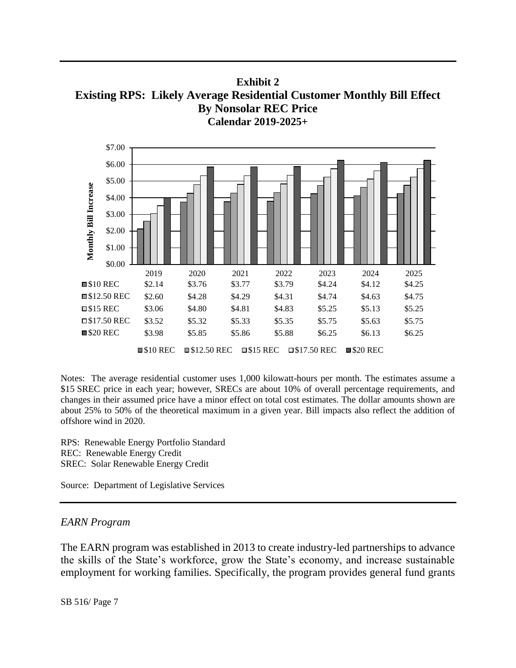**Exhibit 2 Existing RPS: Likely Average Residential Customer Monthly Bill Effect By Nonsolar REC Price Calendar 2019-2025+**



Notes: The average residential customer uses 1,000 kilowatt-hours per month. The estimates assume a \$15 SREC price in each year; however, SRECs are about 10% of overall percentage requirements, and changes in their assumed price have a minor effect on total cost estimates. The dollar amounts shown are about 25% to 50% of the theoretical maximum in a given year. Bill impacts also reflect the addition of offshore wind in 2020.

RPS: Renewable Energy Portfolio Standard REC: Renewable Energy Credit SREC: Solar Renewable Energy Credit

Source: Department of Legislative Services

#### *EARN Program*

The EARN program was established in 2013 to create industry-led partnerships to advance the skills of the State's workforce, grow the State's economy, and increase sustainable employment for working families. Specifically, the program provides general fund grants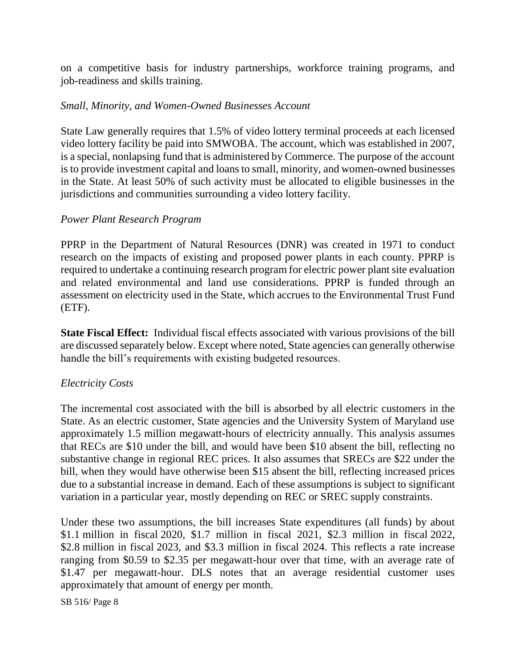on a competitive basis for industry partnerships, workforce training programs, and job-readiness and skills training.

#### *Small, Minority, and Women-Owned Businesses Account*

State Law generally requires that 1.5% of video lottery terminal proceeds at each licensed video lottery facility be paid into SMWOBA. The account, which was established in 2007, is a special, nonlapsing fund that is administered by Commerce. The purpose of the account is to provide investment capital and loans to small, minority, and women-owned businesses in the State. At least 50% of such activity must be allocated to eligible businesses in the jurisdictions and communities surrounding a video lottery facility.

#### *Power Plant Research Program*

PPRP in the Department of Natural Resources (DNR) was created in 1971 to conduct research on the impacts of existing and proposed power plants in each county. PPRP is required to undertake a continuing research program for electric power plant site evaluation and related environmental and land use considerations. PPRP is funded through an assessment on electricity used in the State, which accrues to the Environmental Trust Fund (ETF).

**State Fiscal Effect:** Individual fiscal effects associated with various provisions of the bill are discussed separately below. Except where noted, State agencies can generally otherwise handle the bill's requirements with existing budgeted resources.

## *Electricity Costs*

The incremental cost associated with the bill is absorbed by all electric customers in the State. As an electric customer, State agencies and the University System of Maryland use approximately 1.5 million megawatt-hours of electricity annually. This analysis assumes that RECs are \$10 under the bill, and would have been \$10 absent the bill, reflecting no substantive change in regional REC prices. It also assumes that SRECs are \$22 under the bill, when they would have otherwise been \$15 absent the bill, reflecting increased prices due to a substantial increase in demand. Each of these assumptions is subject to significant variation in a particular year, mostly depending on REC or SREC supply constraints.

Under these two assumptions, the bill increases State expenditures (all funds) by about \$1.1 million in fiscal 2020, \$1.7 million in fiscal 2021, \$2.3 million in fiscal 2022, \$2.8 million in fiscal 2023, and \$3.3 million in fiscal 2024. This reflects a rate increase ranging from \$0.59 to \$2.35 per megawatt-hour over that time, with an average rate of \$1.47 per megawatt-hour. DLS notes that an average residential customer uses approximately that amount of energy per month.

SB 516/ Page 8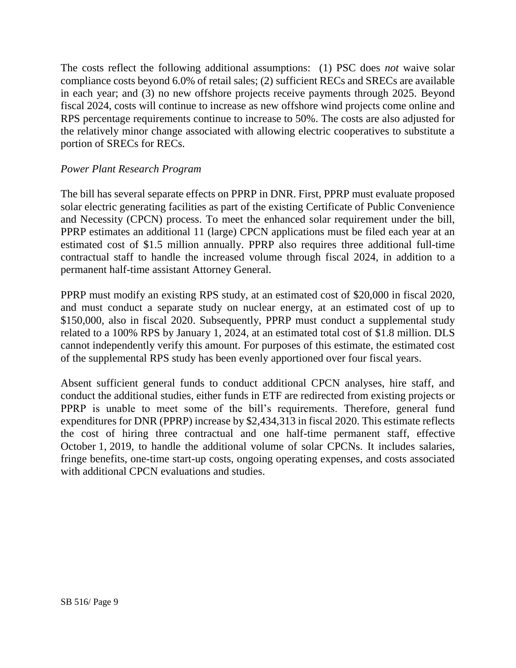The costs reflect the following additional assumptions: (1) PSC does *not* waive solar compliance costs beyond 6.0% of retail sales; (2) sufficient RECs and SRECs are available in each year; and (3) no new offshore projects receive payments through 2025. Beyond fiscal 2024, costs will continue to increase as new offshore wind projects come online and RPS percentage requirements continue to increase to 50%. The costs are also adjusted for the relatively minor change associated with allowing electric cooperatives to substitute a portion of SRECs for RECs.

#### *Power Plant Research Program*

The bill has several separate effects on PPRP in DNR. First, PPRP must evaluate proposed solar electric generating facilities as part of the existing Certificate of Public Convenience and Necessity (CPCN) process. To meet the enhanced solar requirement under the bill, PPRP estimates an additional 11 (large) CPCN applications must be filed each year at an estimated cost of \$1.5 million annually. PPRP also requires three additional full-time contractual staff to handle the increased volume through fiscal 2024, in addition to a permanent half-time assistant Attorney General.

PPRP must modify an existing RPS study, at an estimated cost of \$20,000 in fiscal 2020, and must conduct a separate study on nuclear energy, at an estimated cost of up to \$150,000, also in fiscal 2020. Subsequently, PPRP must conduct a supplemental study related to a 100% RPS by January 1, 2024, at an estimated total cost of \$1.8 million. DLS cannot independently verify this amount. For purposes of this estimate, the estimated cost of the supplemental RPS study has been evenly apportioned over four fiscal years.

Absent sufficient general funds to conduct additional CPCN analyses, hire staff, and conduct the additional studies, either funds in ETF are redirected from existing projects or PPRP is unable to meet some of the bill's requirements. Therefore, general fund expenditures for DNR (PPRP) increase by \$2,434,313 in fiscal 2020. This estimate reflects the cost of hiring three contractual and one half-time permanent staff, effective October 1, 2019, to handle the additional volume of solar CPCNs. It includes salaries, fringe benefits, one-time start-up costs, ongoing operating expenses, and costs associated with additional CPCN evaluations and studies.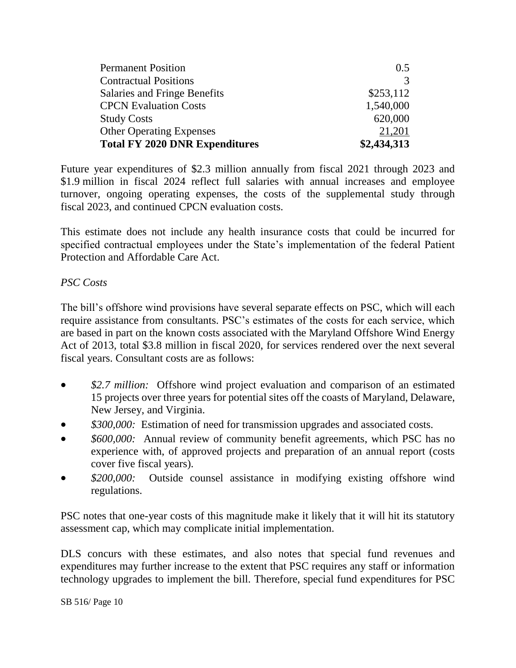| <b>Permanent Position</b>             | 0.5         |
|---------------------------------------|-------------|
| <b>Contractual Positions</b>          | 3           |
| Salaries and Fringe Benefits          | \$253,112   |
| <b>CPCN</b> Evaluation Costs          | 1,540,000   |
| <b>Study Costs</b>                    | 620,000     |
| <b>Other Operating Expenses</b>       | 21,201      |
| <b>Total FY 2020 DNR Expenditures</b> | \$2,434,313 |

Future year expenditures of \$2.3 million annually from fiscal 2021 through 2023 and \$1.9 million in fiscal 2024 reflect full salaries with annual increases and employee turnover, ongoing operating expenses, the costs of the supplemental study through fiscal 2023, and continued CPCN evaluation costs.

This estimate does not include any health insurance costs that could be incurred for specified contractual employees under the State's implementation of the federal Patient Protection and Affordable Care Act.

## *PSC Costs*

The bill's offshore wind provisions have several separate effects on PSC, which will each require assistance from consultants. PSC's estimates of the costs for each service, which are based in part on the known costs associated with the Maryland Offshore Wind Energy Act of 2013, total \$3.8 million in fiscal 2020, for services rendered over the next several fiscal years. Consultant costs are as follows:

- *\$2.7 million:* Offshore wind project evaluation and comparison of an estimated 15 projects over three years for potential sites off the coasts of Maryland, Delaware, New Jersey, and Virginia.
- *\$300,000:* Estimation of need for transmission upgrades and associated costs.
- *\$600,000:* Annual review of community benefit agreements, which PSC has no experience with, of approved projects and preparation of an annual report (costs cover five fiscal years).
- *\$200,000:* Outside counsel assistance in modifying existing offshore wind regulations.

PSC notes that one-year costs of this magnitude make it likely that it will hit its statutory assessment cap, which may complicate initial implementation.

DLS concurs with these estimates, and also notes that special fund revenues and expenditures may further increase to the extent that PSC requires any staff or information technology upgrades to implement the bill. Therefore, special fund expenditures for PSC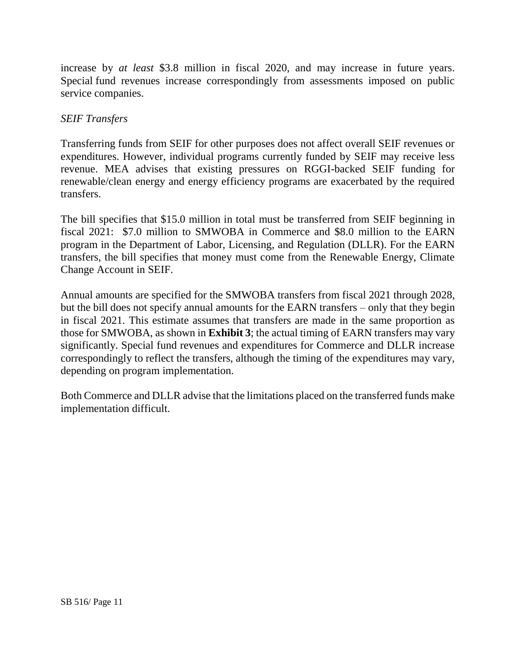increase by *at least* \$3.8 million in fiscal 2020, and may increase in future years. Special fund revenues increase correspondingly from assessments imposed on public service companies.

## *SEIF Transfers*

Transferring funds from SEIF for other purposes does not affect overall SEIF revenues or expenditures. However, individual programs currently funded by SEIF may receive less revenue. MEA advises that existing pressures on RGGI-backed SEIF funding for renewable/clean energy and energy efficiency programs are exacerbated by the required transfers.

The bill specifies that \$15.0 million in total must be transferred from SEIF beginning in fiscal 2021: \$7.0 million to SMWOBA in Commerce and \$8.0 million to the EARN program in the Department of Labor, Licensing, and Regulation (DLLR). For the EARN transfers, the bill specifies that money must come from the Renewable Energy, Climate Change Account in SEIF.

Annual amounts are specified for the SMWOBA transfers from fiscal 2021 through 2028, but the bill does not specify annual amounts for the EARN transfers – only that they begin in fiscal 2021. This estimate assumes that transfers are made in the same proportion as those for SMWOBA, as shown in **Exhibit 3**; the actual timing of EARN transfers may vary significantly. Special fund revenues and expenditures for Commerce and DLLR increase correspondingly to reflect the transfers, although the timing of the expenditures may vary, depending on program implementation.

Both Commerce and DLLR advise that the limitations placed on the transferred funds make implementation difficult.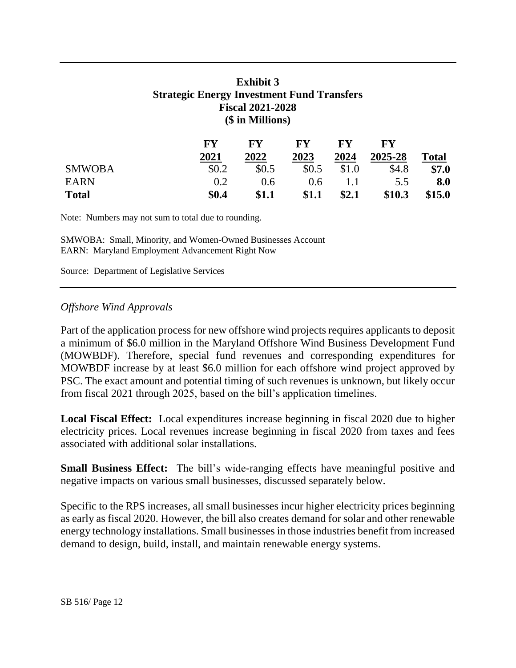# **Exhibit 3 Strategic Energy Investment Fund Transfers Fiscal 2021-2028 (\$ in Millions)**

|               | FY    | ${\bf F}{\bf V}$ | <b>FY</b> | $\mathbf{F}\mathbf{V}$ | ${\bf F}{\bf V}$ |              |
|---------------|-------|------------------|-----------|------------------------|------------------|--------------|
|               | 2021  | 2022             | 2023      | 2024                   | 2025-28          | <b>Total</b> |
| <b>SMWOBA</b> | \$0.2 | \$0.5            | \$0.5     | \$1.0                  | \$4.8            | \$7.0        |
| <b>EARN</b>   | 0.2   | 0.6              | 0.6       |                        | 5.5              | 8.0          |
| <b>Total</b>  | \$0.4 | \$1.1            | \$1.1     | \$2.1                  | \$10.3           | \$15.0       |

Note: Numbers may not sum to total due to rounding.

SMWOBA: Small, Minority, and Women-Owned Businesses Account EARN: Maryland Employment Advancement Right Now

Source: Department of Legislative Services

#### *Offshore Wind Approvals*

Part of the application process for new offshore wind projects requires applicants to deposit a minimum of \$6.0 million in the Maryland Offshore Wind Business Development Fund (MOWBDF). Therefore, special fund revenues and corresponding expenditures for MOWBDF increase by at least \$6.0 million for each offshore wind project approved by PSC. The exact amount and potential timing of such revenues is unknown, but likely occur from fiscal 2021 through 2025, based on the bill's application timelines.

**Local Fiscal Effect:** Local expenditures increase beginning in fiscal 2020 due to higher electricity prices. Local revenues increase beginning in fiscal 2020 from taxes and fees associated with additional solar installations.

**Small Business Effect:** The bill's wide-ranging effects have meaningful positive and negative impacts on various small businesses, discussed separately below.

Specific to the RPS increases, all small businesses incur higher electricity prices beginning as early as fiscal 2020. However, the bill also creates demand for solar and other renewable energy technology installations. Small businesses in those industries benefit from increased demand to design, build, install, and maintain renewable energy systems.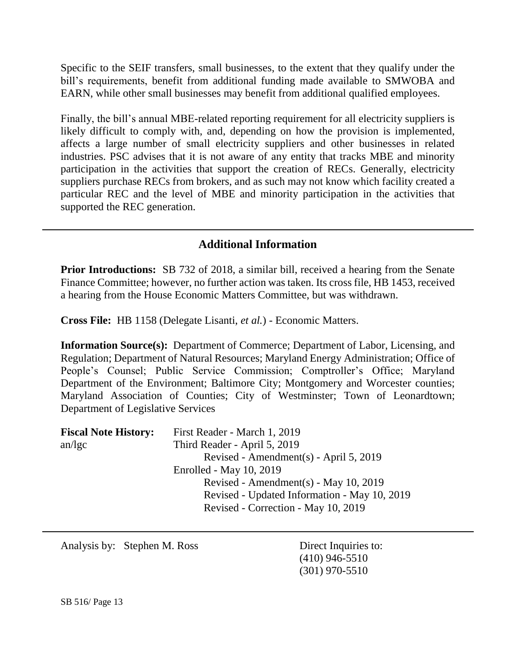Specific to the SEIF transfers, small businesses, to the extent that they qualify under the bill's requirements, benefit from additional funding made available to SMWOBA and EARN, while other small businesses may benefit from additional qualified employees.

Finally, the bill's annual MBE-related reporting requirement for all electricity suppliers is likely difficult to comply with, and, depending on how the provision is implemented, affects a large number of small electricity suppliers and other businesses in related industries. PSC advises that it is not aware of any entity that tracks MBE and minority participation in the activities that support the creation of RECs. Generally, electricity suppliers purchase RECs from brokers, and as such may not know which facility created a particular REC and the level of MBE and minority participation in the activities that supported the REC generation.

## **Additional Information**

**Prior Introductions:** SB 732 of 2018, a similar bill, received a hearing from the Senate Finance Committee; however, no further action was taken. Its cross file, HB 1453, received a hearing from the House Economic Matters Committee, but was withdrawn.

**Cross File:** HB 1158 (Delegate Lisanti, *et al.*) - Economic Matters.

**Information Source(s):** Department of Commerce; Department of Labor, Licensing, and Regulation; Department of Natural Resources; Maryland Energy Administration; Office of People's Counsel; Public Service Commission; Comptroller's Office; Maryland Department of the Environment; Baltimore City; Montgomery and Worcester counties; Maryland Association of Counties; City of Westminster; Town of Leonardtown; Department of Legislative Services

| <b>Fiscal Note History:</b> | First Reader - March 1, 2019                 |
|-----------------------------|----------------------------------------------|
| an/kgc                      | Third Reader - April 5, 2019                 |
|                             | Revised - Amendment(s) - April 5, 2019       |
|                             | Enrolled - May 10, 2019                      |
|                             | Revised - Amendment(s) - May 10, 2019        |
|                             | Revised - Updated Information - May 10, 2019 |
|                             | Revised - Correction - May 10, 2019          |

Analysis by: Stephen M. Ross Direct Inquiries to:

(410) 946-5510 (301) 970-5510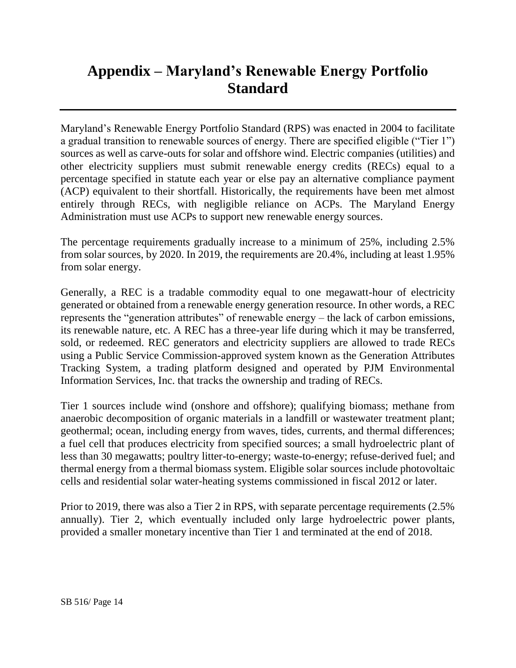# **Appendix – Maryland's Renewable Energy Portfolio Standard**

Maryland's Renewable Energy Portfolio Standard (RPS) was enacted in 2004 to facilitate a gradual transition to renewable sources of energy. There are specified eligible ("Tier 1") sources as well as carve-outs for solar and offshore wind. Electric companies (utilities) and other electricity suppliers must submit renewable energy credits (RECs) equal to a percentage specified in statute each year or else pay an alternative compliance payment (ACP) equivalent to their shortfall. Historically, the requirements have been met almost entirely through RECs, with negligible reliance on ACPs. The Maryland Energy Administration must use ACPs to support new renewable energy sources.

The percentage requirements gradually increase to a minimum of 25%, including 2.5% from solar sources, by 2020. In 2019, the requirements are 20.4%, including at least 1.95% from solar energy.

Generally, a REC is a tradable commodity equal to one megawatt-hour of electricity generated or obtained from a renewable energy generation resource. In other words, a REC represents the "generation attributes" of renewable energy – the lack of carbon emissions, its renewable nature, etc. A REC has a three-year life during which it may be transferred, sold, or redeemed. REC generators and electricity suppliers are allowed to trade RECs using a Public Service Commission-approved system known as the Generation Attributes Tracking System, a trading platform designed and operated by PJM Environmental Information Services, Inc. that tracks the ownership and trading of RECs.

Tier 1 sources include wind (onshore and offshore); qualifying biomass; methane from anaerobic decomposition of organic materials in a landfill or wastewater treatment plant; geothermal; ocean, including energy from waves, tides, currents, and thermal differences; a fuel cell that produces electricity from specified sources; a small hydroelectric plant of less than 30 megawatts; poultry litter-to-energy; waste-to-energy; refuse-derived fuel; and thermal energy from a thermal biomass system. Eligible solar sources include photovoltaic cells and residential solar water-heating systems commissioned in fiscal 2012 or later.

Prior to 2019, there was also a Tier 2 in RPS, with separate percentage requirements (2.5% annually). Tier 2, which eventually included only large hydroelectric power plants, provided a smaller monetary incentive than Tier 1 and terminated at the end of 2018.